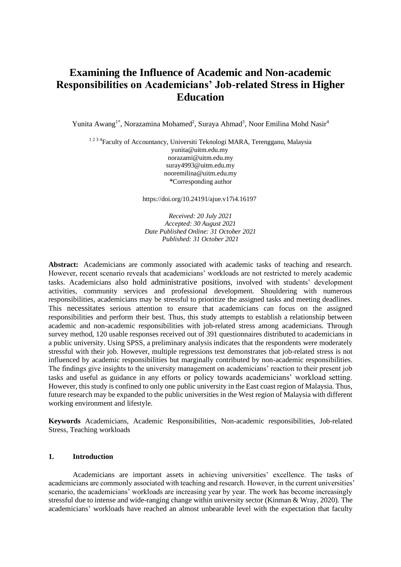# **Examining the Influence of Academic and Non-academic Responsibilities on Academicians' Job-related Stress in Higher Education**

Yunita Awang<sup>1\*</sup>, Norazamina Mohamed<sup>2</sup>, Suraya Ahmad<sup>3</sup>, Noor Emilina Mohd Nasir<sup>4</sup>

<sup>1234</sup>Faculty of Accountancy, Universiti Teknologi MARA, Terengganu, Malaysia [yunita@uitm.edu.my](mailto:yunita@uitm.edu.my) [norazami@uitm.edu.my](mailto:norazami@uitm.edu.my) [suray4993@uitm.edu.my](mailto:suray4993@uitm.edu.my) nooremilina@uitm.edu.my *\**Corresponding author

https://doi.org/10.24191/ajue.v17i4.16197

*Received: 20 July 2021 Accepted: 30 August 2021 Date Published Online: 31 October 2021 Published: 31 October 2021*

**Abstract:** Academicians are commonly associated with academic tasks of teaching and research. However, recent scenario reveals that academicians' workloads are not restricted to merely academic tasks. Academicians also hold administrative positions, involved with students' development activities, community services and professional development. Shouldering with numerous responsibilities, academicians may be stressful to prioritize the assigned tasks and meeting deadlines. This necessitates serious attention to ensure that academicians can focus on the assigned responsibilities and perform their best. Thus, this study attempts to establish a relationship between academic and non-academic responsibilities with job-related stress among academicians. Through survey method, 120 usable responses received out of 391 questionnaires distributed to academicians in a public university. Using SPSS, a preliminary analysis indicates that the respondents were moderately stressful with their job. However, multiple regressions test demonstrates that job-related stress is not influenced by academic responsibilities but marginally contributed by non-academic responsibilities. The findings give insights to the university management on academicians' reaction to their present job tasks and useful as guidance in any efforts or policy towards academicians' workload setting. However, this study is confined to only one public university in the East coast region of Malaysia. Thus, future research may be expanded to the public universities in the West region of Malaysia with different working environment and lifestyle.

**Keywords** Academicians, Academic Responsibilities, Non-academic responsibilities, Job-related Stress, Teaching workloads

## **1. Introduction**

Academicians are important assets in achieving universities' excellence. The tasks of academicians are commonly associated with teaching and research. However, in the current universities' scenario, the academicians' workloads are increasing year by year. The work has become increasingly stressful due to intense and wide-ranging change within university sector [\(Kinman & Wray, 2020\)](https://docs.google.com/document/d/1vxRhjhkXdq9T6-dbTw-obYft9j0YoC92/edit#heading=h.49x2ik5). The academicians' workloads have reached an almost unbearable level with the expectation that faculty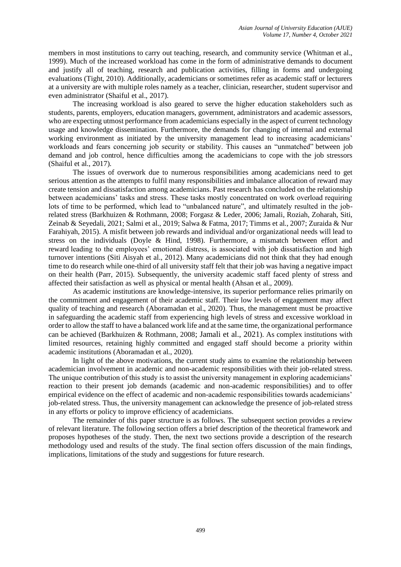members in most institutions to carry out teaching, research, and community service [\(Whitman et al.,](https://docs.google.com/document/d/1vxRhjhkXdq9T6-dbTw-obYft9j0YoC92/edit#heading=h.2lwamvv)  [1999\)](https://docs.google.com/document/d/1vxRhjhkXdq9T6-dbTw-obYft9j0YoC92/edit#heading=h.2lwamvv). Much of the increased workload has come in the form of administrative demands to document and justify all of teaching, research and publication activities, filling in forms and undergoing evaluations [\(Tight, 2010\)](https://docs.google.com/document/d/1vxRhjhkXdq9T6-dbTw-obYft9j0YoC92/edit#heading=h.1mrcu09). Additionally, academicians or sometimes refer as academic staff or lecturers at a university are with multiple roles namely as a teacher, clinician, researcher, student supervisor and even administrator [\(Shaiful et al., 2017\)](https://docs.google.com/document/d/1vxRhjhkXdq9T6-dbTw-obYft9j0YoC92/edit#heading=h.3tbugp1).

The increasing workload is also geared to serve the higher education stakeholders such as students, parents, employers, education managers, government, administrators and academic assessors, who are expecting utmost performance from academicians especially in the aspect of current technology usage and knowledge dissemination. Furthermore, the demands for changing of internal and external working environment as initiated by the university management lead to increasing academicians' workloads and fears concerning job security or stability. This causes an "unmatched" between job demand and job control, hence difficulties among the academicians to cope with the job stressors [\(Shaiful et al., 2017\)](https://docs.google.com/document/d/1vxRhjhkXdq9T6-dbTw-obYft9j0YoC92/edit#heading=h.3tbugp1).

The issues of overwork due to numerous responsibilities among academicians need to get serious attention as the attempts to fulfil many responsibilities and imbalance allocation of reward may create tension and dissatisfaction among academicians. Past research has concluded on the relationship between academicians' tasks and stress. These tasks mostly concentrated on work overload requiring lots of time to be performed, which lead to "unbalanced nature", and ultimately resulted in the jobrelated stress [\(Barkhuizen & Rothmann, 2008;](https://docs.google.com/document/d/1vxRhjhkXdq9T6-dbTw-obYft9j0YoC92/edit#heading=h.35nkun2) [Forgasz & Leder, 2006;](https://docs.google.com/document/d/1vxRhjhkXdq9T6-dbTw-obYft9j0YoC92/edit#heading=h.1y810tw) Jamali, Roziah, Zoharah, Siti, Zeinab & Seyedali, 2021; [Salmi et al., 2019;](https://docs.google.com/document/d/1vxRhjhkXdq9T6-dbTw-obYft9j0YoC92/edit#heading=h.3fwokq0) [Salwa & Fatma, 2017;](https://docs.google.com/document/d/1vxRhjhkXdq9T6-dbTw-obYft9j0YoC92/edit#heading=h.1v1yuxt) [Timms et al., 2007;](https://docs.google.com/document/d/1vxRhjhkXdq9T6-dbTw-obYft9j0YoC92/edit#heading=h.46r0co2) [Zuraida & Nur](https://docs.google.com/document/d/1vxRhjhkXdq9T6-dbTw-obYft9j0YoC92/edit#heading=h.3l18frh)  [Farahiyah, 2015\)](https://docs.google.com/document/d/1vxRhjhkXdq9T6-dbTw-obYft9j0YoC92/edit#heading=h.3l18frh). A misfit between job rewards and individual and/or organizational needs will lead to stress on the individuals [\(Doyle & Hind, 1998\)](https://docs.google.com/document/d/1vxRhjhkXdq9T6-dbTw-obYft9j0YoC92/edit#heading=h.2jxsxqh). Furthermore, a mismatch between effort and reward leading to the employees' emotional distress, is associated with job dissatisfaction and high turnover intentions [\(Siti Aisyah et al., 2012\)](https://docs.google.com/document/d/1vxRhjhkXdq9T6-dbTw-obYft9j0YoC92/edit#heading=h.28h4qwu). Many academicians did not think that they had enough time to do research while one-third of all university staff felt that their job was having a negative impact on their health [\(Parr, 2015\)](https://docs.google.com/document/d/1vxRhjhkXdq9T6-dbTw-obYft9j0YoC92/edit#heading=h.1hmsyys). Subsequently, the university academic staff faced plenty of stress and affected their satisfaction as well as physical or mental health [\(Ahsan et al., 2009\)](https://docs.google.com/document/d/1vxRhjhkXdq9T6-dbTw-obYft9j0YoC92/edit#heading=h.3rdcrjn).

As academic institutions are knowledge-intensive, its superior performance relies primarily on the commitment and engagement of their academic staff. Their low levels of engagement may affect quality of teaching and research [\(Aboramadan et al., 2020\)](https://docs.google.com/document/d/1vxRhjhkXdq9T6-dbTw-obYft9j0YoC92/edit#heading=h.2s8eyo1). Thus, the management must be proactive in safeguarding the academic staff from experiencing high levels of stress and excessive workload in order to allow the staff to have a balanced work life and at the same time, the organizational performance can be achieved [\(Barkhuizen & Rothmann, 2008](https://docs.google.com/document/d/1vxRhjhkXdq9T6-dbTw-obYft9j0YoC92/edit#heading=h.35nkun2); Jamali et al., 2021). As complex institutions with limited resources, retaining highly committed and engaged staff should become a priority within academic institutions [\(Aboramadan et al., 2020\)](https://docs.google.com/document/d/1vxRhjhkXdq9T6-dbTw-obYft9j0YoC92/edit#heading=h.2s8eyo1).

In light of the above motivations, the current study aims to examine the relationship between academician involvement in academic and non-academic responsibilities with their job-related stress. The unique contribution of this study is to assist the university management in exploring academicians' reaction to their present job demands (academic and non-academic responsibilities) and to offer empirical evidence on the effect of academic and non-academic responsibilities towards academicians' job-related stress. Thus, the university management can acknowledge the presence of job-related stress in any efforts or policy to improve efficiency of academicians.

The remainder of this paper structure is as follows. The subsequent section provides a review of relevant literature. The following section offers a brief description of the theoretical framework and proposes hypotheses of the study. Then, the next two sections provide a description of the research methodology used and results of the study. The final section offers discussion of the main findings, implications, limitations of the study and suggestions for future research.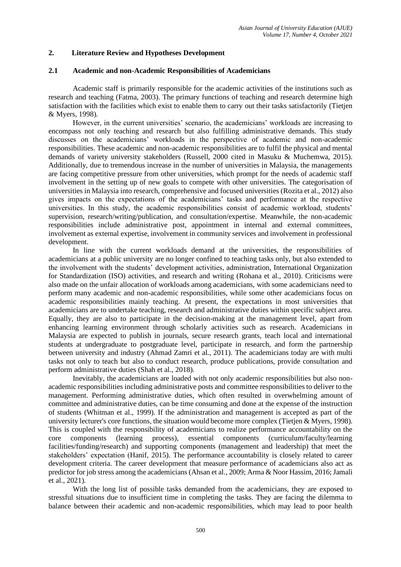## **2. Literature Review and Hypotheses Development**

#### **2.1 Academic and non-Academic Responsibilities of Academicians**

Academic staff is primarily responsible for the academic activities of the institutions such as research and teaching [\(Fatma, 2003\)](https://docs.google.com/document/d/1vxRhjhkXdq9T6-dbTw-obYft9j0YoC92/edit#heading=h.3j2qqm3). The primary functions of teaching and research determine high satisfaction with the facilities which exist to enable them to carry out their tasks satisfactorily [\(Tietjen](https://docs.google.com/document/d/1vxRhjhkXdq9T6-dbTw-obYft9j0YoC92/edit#heading=h.37m2jsg)  [& Myers, 1998\)](https://docs.google.com/document/d/1vxRhjhkXdq9T6-dbTw-obYft9j0YoC92/edit#heading=h.37m2jsg).

However, in the current universities' scenario, the academicians' workloads are increasing to encompass not only teaching and research but also fulfilling administrative demands. This study discusses on the academicians' workloads in the perspective of academic and non-academic responsibilities. These academic and non-academic responsibilities are to fulfil the physical and mental demands of variety university stakeholders [\(Russell, 2000 cited in Masuku & Muchemwa, 2015\)](https://docs.google.com/document/d/1vxRhjhkXdq9T6-dbTw-obYft9j0YoC92/edit#heading=h.2p2csry). Additionally, due to tremendous increase in the number of universities in Malaysia, the managements are facing competitive pressure from other universities, which prompt for the needs of academic staff involvement in the setting up of new goals to compete with other universities. The categorisation of universities in Malaysia into research, comprehensive and focused universities [\(Rozita et al., 2012\)](https://docs.google.com/document/d/1vxRhjhkXdq9T6-dbTw-obYft9j0YoC92/edit#heading=h.vx1227) also gives impacts on the expectations of the academicians' tasks and performance at the respective universities. In this study, the academic responsibilities consist of academic workload, students' supervision, research/writing/publication, and consultation/expertise. Meanwhile, the non-academic responsibilities include administrative post, appointment in internal and external committees, involvement as external expertise, involvement in community services and involvement in professional development.

In line with the current workloads demand at the universities, the responsibilities of academicians at a public university are no longer confined to teaching tasks only, but also extended to the involvement with the students' development activities, administration, International Organization for Standardization (ISO) activities, and research and writing [\(Rohana et al., 2010\)](https://docs.google.com/document/d/1vxRhjhkXdq9T6-dbTw-obYft9j0YoC92/edit#heading=h.2grqrue). Criticisms were also made on the unfair allocation of workloads among academicians, with some academicians need to perform many academic and non-academic responsibilities, while some other academicians focus on academic responsibilities mainly teaching. At present, the expectations in most universities that academicians are to undertake teaching, research and administrative duties within specific subject area. Equally, they are also to participate in the decision-making at the management level, apart from enhancing learning environment through scholarly activities such as research. Academicians in Malaysia are expected to publish in journals, secure research grants, teach local and international students at undergraduate to postgraduate level, participate in research, and form the partnership between university and industry [\(Ahmad Zamri et al., 2011\)](https://docs.google.com/document/d/1vxRhjhkXdq9T6-dbTw-obYft9j0YoC92/edit#heading=h.17dp8vu). The academicians today are with multi tasks not only to teach but also to conduct research, produce publications, provide consultation and perform administrative duties [\(Shah et al., 2018\)](https://docs.google.com/document/d/1vxRhjhkXdq9T6-dbTw-obYft9j0YoC92/edit#heading=h.19c6y18).

Inevitably, the academicians are loaded with not only academic responsibilities but also nonacademic responsibilities including administrative posts and committee responsibilities to deliver to the management. Performing administrative duties, which often resulted in overwhelming amount of committee and administrative duties, can be time consuming and done at the expense of the instruction of students [\(Whitman et al., 1999\)](https://docs.google.com/document/d/1vxRhjhkXdq9T6-dbTw-obYft9j0YoC92/edit#heading=h.2lwamvv). If the administration and management is accepted as part of the university lecturer's core functions, the situation would become more complex [\(Tietjen & Myers, 1998\)](https://docs.google.com/document/d/1vxRhjhkXdq9T6-dbTw-obYft9j0YoC92/edit#heading=h.37m2jsg). This is coupled with the responsibility of academicians to realize performance accountability on the core components (learning process), essential components (curriculum/faculty/learning facilities/funding/research) and supporting components (management and leadership) that meet the stakeholders' expectation [\(Hanif, 2015\)](https://docs.google.com/document/d/1vxRhjhkXdq9T6-dbTw-obYft9j0YoC92/edit#heading=h.2bn6wsx). The performance accountability is closely related to career development criteria. The career development that measure performance of academicians also act as predictor for job stress among the academicians [\(Ahsan et al., 2009;](https://docs.google.com/document/d/1vxRhjhkXdq9T6-dbTw-obYft9j0YoC92/edit#heading=h.3rdcrjn) [Arma & Noor Hassim, 2016;](https://docs.google.com/document/d/1vxRhjhkXdq9T6-dbTw-obYft9j0YoC92/edit#heading=h.lnxbz9) Jamali et al., 2021).

With the long list of possible tasks demanded from the academicians, they are exposed to stressful situations due to insufficient time in completing the tasks. They are facing the dilemma to balance between their academic and non-academic responsibilities, which may lead to poor health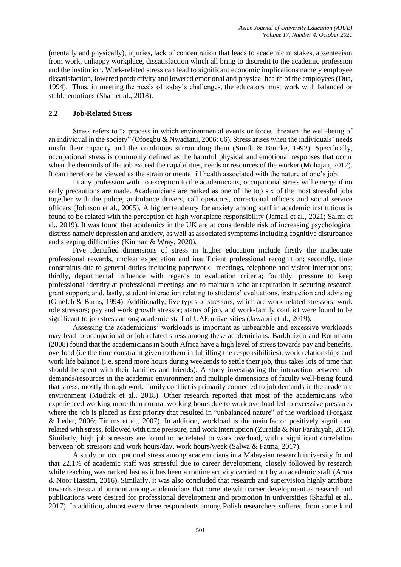(mentally and physically), injuries, lack of concentration that leads to academic mistakes, absenteeism from work, unhappy workplace, dissatisfaction which all bring to discredit to the academic profession and the institution. Work-related stress can lead to significant economic implications namely employee dissatisfaction, lowered productivity and lowered emotional and physical health of the employees [\(Dua,](https://docs.google.com/document/d/1vxRhjhkXdq9T6-dbTw-obYft9j0YoC92/edit#heading=h.z337ya)  [1994\)](https://docs.google.com/document/d/1vxRhjhkXdq9T6-dbTw-obYft9j0YoC92/edit#heading=h.z337ya). Thus, in meeting the needs of today's challenges, the educators must work with balanced or stable emotions [\(Shah et al., 2018\)](https://docs.google.com/document/d/1vxRhjhkXdq9T6-dbTw-obYft9j0YoC92/edit#heading=h.19c6y18).

## **2.2 Job-Related Stress**

Stress refers to "a process in which environmental events or forces threaten the well-being of an individual in the society" [\(Ofoegbu & Nwadiani, 2006: 66\)](https://docs.google.com/document/d/1vxRhjhkXdq9T6-dbTw-obYft9j0YoC92/edit#heading=h.ihv636). Stress arises when the individuals' needs misfit their capacity and the conditions surrounding them [\(Smith & Bourke, 1992\)](https://docs.google.com/document/d/1vxRhjhkXdq9T6-dbTw-obYft9j0YoC92/edit#heading=h.nmf14n). Specifically, occupational stress is commonly defined as the harmful physical and emotional responses that occur when the demands of the job exceed the capabilities, needs or resources of the worker [\(Mohajan, 2012\)](https://docs.google.com/document/d/1vxRhjhkXdq9T6-dbTw-obYft9j0YoC92/edit#heading=h.147n2zr). It can therefore be viewed as the strain or mental ill health associated with the nature of one's job.

In any profession with no exception to the academicians, occupational stress will emerge if no early precautions are made. Academicians are ranked as one of the top six of the most stressful jobs together with the police, ambulance drivers, call operators, correctional officers and social service officers [\(Johnson et al., 2005\)](https://docs.google.com/document/d/1vxRhjhkXdq9T6-dbTw-obYft9j0YoC92/edit#heading=h.1pxezwc). A higher tendency for anxiety among staff in academic institutions is found to be related with the perception of high workplace responsibility (Jamali et al., 2021; [Salmi et](https://docs.google.com/document/d/1vxRhjhkXdq9T6-dbTw-obYft9j0YoC92/edit#heading=h.3fwokq0)  [al., 2019\)](https://docs.google.com/document/d/1vxRhjhkXdq9T6-dbTw-obYft9j0YoC92/edit#heading=h.3fwokq0). It was found that academics in the UK are at considerable risk of increasing psychological distress namely depression and anxiety, as well as associated symptoms including cognitive disturbance and sleeping difficulties [\(Kinman & Wray, 2020\)](https://docs.google.com/document/d/1vxRhjhkXdq9T6-dbTw-obYft9j0YoC92/edit#heading=h.49x2ik5).

Five identified dimensions of stress in higher education include firstly the inadequate professional rewards, unclear expectation and insufficient professional recognition; secondly, time constraints due to general duties including paperwork, meetings, telephone and visitor interruptions; thirdly, departmental influence with regards to evaluation criteria; fourthly, pressure to keep professional identity at professional meetings and to maintain scholar reputation in securing research grant support; and, lastly, student interaction relating to students' evaluations, instruction and advising [\(Gmelch & Burns, 1994\)](https://docs.google.com/document/d/1vxRhjhkXdq9T6-dbTw-obYft9j0YoC92/edit#heading=h.2xcytpi). Additionally, five types of stressors, which are work-related stressors; work role stressors; pay and work growth stressor; status of job, and work-family conflict were found to be significant to job stress among academic staff of UAE universities [\(Jawabri et al., 2019\)](https://docs.google.com/document/d/1vxRhjhkXdq9T6-dbTw-obYft9j0YoC92/edit#heading=h.3as4poj).

Assessing the academicians' workloads is important as unbearable and excessive workloads may lead to occupational or job-related stress among these academicians. Barkhuizen and Rothmann [\(2008\)](https://docs.google.com/document/d/1vxRhjhkXdq9T6-dbTw-obYft9j0YoC92/edit#heading=h.35nkun2) found that the academicians in South Africa have a high level of stress towards pay and benefits, overload (i.e the time constraint given to them in fulfilling the responsibilities), work relationships and work life balance (i.e. spend more hours during weekends to settle their job, thus takes lots of time that should be spent with their families and friends). A study investigating the interaction between job demands/resources in the academic environment and multiple dimensions of faculty well-being found that stress, mostly through work-family conflict is primarily connected to job demands in the academic environment [\(Mudrak et al., 2018\)](https://docs.google.com/document/d/1vxRhjhkXdq9T6-dbTw-obYft9j0YoC92/edit#heading=h.3o7alnk). Other research reported that most of the academicians who experienced working more than normal working hours due to work overload led to excessive pressures where the job is placed as first priority that resulted in "unbalanced nature" of the workload [\(Forgasz](https://docs.google.com/document/d/1vxRhjhkXdq9T6-dbTw-obYft9j0YoC92/edit#heading=h.1y810tw)  [& Leder, 2006;](https://docs.google.com/document/d/1vxRhjhkXdq9T6-dbTw-obYft9j0YoC92/edit#heading=h.1y810tw) [Timms et al., 2007\)](https://docs.google.com/document/d/1vxRhjhkXdq9T6-dbTw-obYft9j0YoC92/edit#heading=h.46r0co2). In addition, workload is the main factor positively significant related with stress, followed with time pressure, and work interruption [\(Zuraida & Nur Farahiyah, 2015\)](https://docs.google.com/document/d/1vxRhjhkXdq9T6-dbTw-obYft9j0YoC92/edit#heading=h.3l18frh). Similarly, high job stressors are found to be related to work overload, with a significant correlation between job stressors and work hours/day, work hours/week [\(Salwa & Fatma, 2017\)](https://docs.google.com/document/d/1vxRhjhkXdq9T6-dbTw-obYft9j0YoC92/edit#heading=h.1v1yuxt).

A study on occupational stress among academicians in a Malaysian research university found that 22.1% of academic staff was stressful due to career development, closely followed by research while teaching was ranked last as it has been a routine activity carried out by an academic staff [\(Arma](https://docs.google.com/document/d/1vxRhjhkXdq9T6-dbTw-obYft9j0YoC92/edit#heading=h.lnxbz9)  [& Noor Hassim, 2016\)](https://docs.google.com/document/d/1vxRhjhkXdq9T6-dbTw-obYft9j0YoC92/edit#heading=h.lnxbz9). Similarly, it was also concluded that research and supervision highly attribute towards stress and burnout among academicians that correlate with career development as research and publications were desired for professional development and promotion in universities [\(Shaiful et al.,](https://docs.google.com/document/d/1vxRhjhkXdq9T6-dbTw-obYft9j0YoC92/edit#heading=h.3tbugp1)  [2017\)](https://docs.google.com/document/d/1vxRhjhkXdq9T6-dbTw-obYft9j0YoC92/edit#heading=h.3tbugp1). In addition, almost every three respondents among Polish researchers suffered from some kind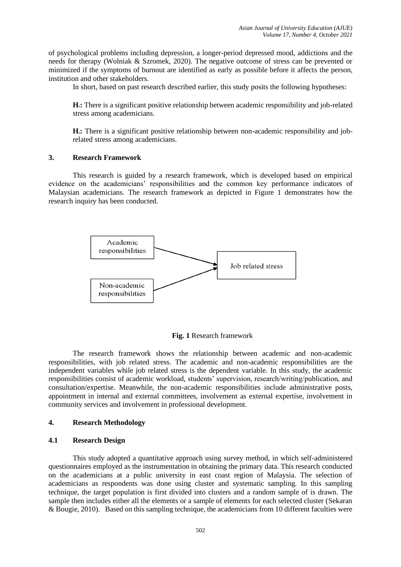of psychological problems including depression, a longer-period depressed mood, addictions and the needs for therapy [\(Wolniak & Szromek, 2020\)](https://docs.google.com/document/d/1vxRhjhkXdq9T6-dbTw-obYft9j0YoC92/edit#heading=h.111kx3o). The negative outcome of stress can be prevented or minimized if the symptoms of burnout are identified as early as possible before it affects the person, institution and other stakeholders.

In short, based on past research described earlier, this study posits the following hypotheses:

**H1:** There is a significant positive relationship between academic responsibility and job-related stress among academicians.

**H2:** There is a significant positive relationship between non-academic responsibility and jobrelated stress among academicians.

#### **3. Research Framework**

This research is guided by a research framework, which is developed based on empirical evidence on the academicians' responsibilities and the common key performance indicators of Malaysian academicians. The research framework as depicted in Figure 1 demonstrates how the research inquiry has been conducted.



**Fig. 1** Research framework

The research framework shows the relationship between academic and non-academic responsibilities, with job related stress. The academic and non-academic responsibilities are the independent variables while job related stress is the dependent variable. In this study, the academic responsibilities consist of academic workload, students' supervision, research/writing/publication, and consultation/expertise. Meanwhile, the non-academic responsibilities include administrative posts, appointment in internal and external committees, involvement as external expertise, involvement in community services and involvement in professional development.

## **4. Research Methodology**

#### **4.1 Research Design**

This study adopted a quantitative approach using survey method, in which self-administered questionnaires employed as the instrumentation in obtaining the primary data. This research conducted on the academicians at a public university in east coast region of Malaysia. The selection of academicians as respondents was done using cluster and systematic sampling. In this sampling technique, the target population is first divided into clusters and a random sample of is drawn. The sample then includes either all the elements or a sample of elements for each selected cluster [\(Sekaran](https://docs.google.com/document/d/1vxRhjhkXdq9T6-dbTw-obYft9j0YoC92/edit#heading=h.2u6wntf)  [& Bougie, 2010\)](https://docs.google.com/document/d/1vxRhjhkXdq9T6-dbTw-obYft9j0YoC92/edit#heading=h.2u6wntf). Based on this sampling technique, the academicians from 10 different faculties were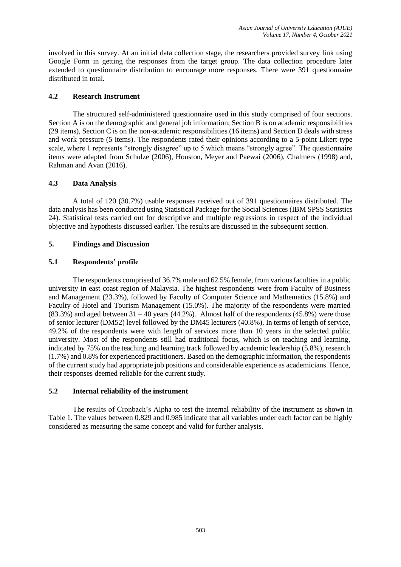involved in this survey. At an initial data collection stage, the researchers provided survey link using Google Form in getting the responses from the target group. The data collection procedure later extended to questionnaire distribution to encourage more responses. There were 391 questionnaire distributed in total.

## **4.2 Research Instrument**

The structured self-administered questionnaire used in this study comprised of four sections. Section A is on the demographic and general job information; Section B is on academic responsibilities (29 items), Section C is on the non-academic responsibilities (16 items) and Section D deals with stress and work pressure (5 items). The respondents rated their opinions according to a 5-point Likert-type scale, where 1 represents "strongly disagree" up to 5 which means "strongly agree". The questionnaire items were adapted from Schulze [\(2006\)](https://docs.google.com/document/d/1vxRhjhkXdq9T6-dbTw-obYft9j0YoC92/edit#heading=h.4f1mdlm), Houston, Meyer and Paewai [\(2006\)](https://docs.google.com/document/d/1vxRhjhkXdq9T6-dbTw-obYft9j0YoC92/edit#heading=h.qsh70q), Chalmers [\(1998\)](https://docs.google.com/document/d/1vxRhjhkXdq9T6-dbTw-obYft9j0YoC92/edit#heading=h.1ksv4uv) and, Rahman and Avan [\(2016\)](https://docs.google.com/document/d/1vxRhjhkXdq9T6-dbTw-obYft9j0YoC92/edit#heading=h.41mghml).

## **4.3 Data Analysis**

A total of 120 (30.7%) usable responses received out of 391 questionnaires distributed. The data analysis has been conducted using Statistical Package for the Social Sciences (IBM SPSS Statistics 24). Statistical tests carried out for descriptive and multiple regressions in respect of the individual objective and hypothesis discussed earlier. The results are discussed in the subsequent section.

## **5. Findings and Discussion**

# **5.1 Respondents' profile**

The respondents comprised of 36.7% male and 62.5% female, from various faculties in a public university in east coast region of Malaysia. The highest respondents were from Faculty of Business and Management (23.3%), followed by Faculty of Computer Science and Mathematics (15.8%) and Faculty of Hotel and Tourism Management (15.0%). The majority of the respondents were married  $(83.3\%)$  and aged between 31 – 40 years (44.2%). Almost half of the respondents (45.8%) were those of senior lecturer (DM52) level followed by the DM45 lecturers (40.8%). In terms of length of service, 49.2% of the respondents were with length of services more than 10 years in the selected public university. Most of the respondents still had traditional focus, which is on teaching and learning, indicated by 75% on the teaching and learning track followed by academic leadership (5.8%), research (1.7%) and 0.8% for experienced practitioners. Based on the demographic information, the respondents of the current study had appropriate job positions and considerable experience as academicians. Hence, their responses deemed reliable for the current study.

## **5.2 Internal reliability of the instrument**

The results of Cronbach's Alpha to test the internal reliability of the instrument as shown in Table 1. The values between 0.829 and 0.985 indicate that all variables under each factor can be highly considered as measuring the same concept and valid for further analysis.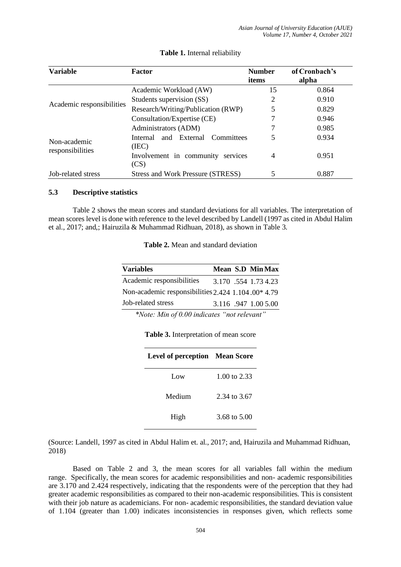| Variable                  | <b>Number</b><br>items                          | of Cronbach's<br>alpha |       |
|---------------------------|-------------------------------------------------|------------------------|-------|
|                           | Academic Workload (AW)                          | 15                     | 0.864 |
|                           | Students supervision (SS)                       | 2                      | 0.910 |
| Academic responsibilities | Research/Writing/Publication (RWP)              |                        | 0.829 |
|                           | Consultation/Expertise (CE)                     |                        | 0.946 |
|                           | Administrators (ADM)                            |                        | 0.985 |
| Non-academic              | and External<br>Committees<br>Internal<br>(IEC) |                        | 0.934 |
| responsibilities          | Involvement in community services<br>(CS)       | $\overline{4}$         | 0.951 |
| Job-related stress        | Stress and Work Pressure (STRESS)               |                        | 0.887 |

#### **Table 1.** Internal reliability

## **5.3 Descriptive statistics**

Table 2 shows the mean scores and standard deviations for all variables. The interpretation of mean scores level is done with reference to the level described by Landell (1997 as cited in [Abdul Halim](https://docs.google.com/document/d/1vxRhjhkXdq9T6-dbTw-obYft9j0YoC92/edit#heading=h.4d34og8)  [et al., 2017; and,;](https://docs.google.com/document/d/1vxRhjhkXdq9T6-dbTw-obYft9j0YoC92/edit#heading=h.4d34og8) [Hairuzila & Muhammad Ridhuan, 2018\)](https://docs.google.com/document/d/1vxRhjhkXdq9T6-dbTw-obYft9j0YoC92/edit#heading=h.3whwml4), as shown in Table 3.

| Table 2. Mean and standard deviation |
|--------------------------------------|
|--------------------------------------|

| <b>Variables</b>                                   | Mean S.D MinMax      |
|----------------------------------------------------|----------------------|
| Academic responsibilities                          | 3.170 .554 1.73 4.23 |
| Non-academic responsibilities 2.424 1.104.00* 4.79 |                      |
| Job-related stress                                 | 3.116 .947 1.00 5.00 |
| $*N$ . $\mathcal{M}$ . $\mathcal{L} \cap \Omega$   |                      |

*\*Note: Min of 0.00 indicates "not relevant"*

**Table 3.** Interpretation of mean score

| <b>Level of perception</b> Mean Score |              |
|---------------------------------------|--------------|
| $_{\text{Low}}$                       | 1.00 to 2.33 |
| Medium                                | 2.34 to 3.67 |
| High                                  | 3.68 to 5.00 |

(Source: Landell, 1997 as cited in Abdul Halim et. al., 2017; and, Hairuzila and Muhammad Ridhuan, 2018)

Based on Table 2 and 3, the mean scores for all variables fall within the medium range. Specifically, the mean scores for academic responsibilities and non- academic responsibilities are 3.170 and 2.424 respectively, indicating that the respondents were of the perception that they had greater academic responsibilities as compared to their non-academic responsibilities. This is consistent with their job nature as academicians. For non- academic responsibilities, the standard deviation value of 1.104 (greater than 1.00) indicates inconsistencies in responses given, which reflects some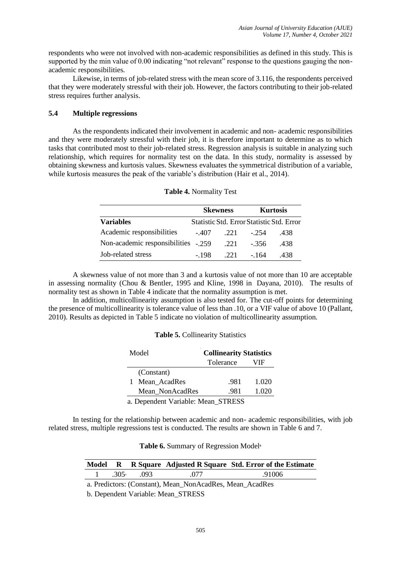respondents who were not involved with non-academic responsibilities as defined in this study. This is supported by the min value of 0.00 indicating "not relevant" response to the questions gauging the nonacademic responsibilities.

Likewise, in terms of job-related stress with the mean score of 3.116, the respondents perceived that they were moderately stressful with their job. However, the factors contributing to their job-related stress requires further analysis.

## **5.4 Multiple regressions**

As the respondents indicated their involvement in academic and non- academic responsibilities and they were moderately stressful with their job, it is therefore important to determine as to which tasks that contributed most to their job-related stress. Regression analysis is suitable in analyzing such relationship, which requires for normality test on the data. In this study, normality is assessed by obtaining skewness and kurtosis values. Skewness evaluates the symmetrical distribution of a variable, while kurtosis measures the peak of the variable's distribution [\(Hair et al., 2014\)](https://docs.google.com/document/d/1vxRhjhkXdq9T6-dbTw-obYft9j0YoC92/edit#heading=h.1ci93xb).

|                                     |         | <b>Skewness</b> |                                           | <b>Kurtosis</b> |
|-------------------------------------|---------|-----------------|-------------------------------------------|-----------------|
| <b>Variables</b>                    |         |                 | Statistic Std. Error Statistic Std. Error |                 |
| Academic responsibilities           | $-.407$ | .221            | - 254                                     | .438            |
| Non-academic responsibilities -.259 |         | .221            | $-356$                                    | .438            |
| Job-related stress                  | - 198   | 22.1            | - 164                                     | .438            |

# **Table 4.** Normality Test

A skewness value of not more than 3 and a kurtosis value of not more than 10 are acceptable in assessing normality [\(Chou & Bentler, 1995 and Kline, 1998 in](https://docs.google.com/document/d/1vxRhjhkXdq9T6-dbTw-obYft9j0YoC92/edit#heading=h.44sinio) Dayana, 2010). The results of normality test as shown in Table 4 indicate that the normality assumption is met.

In addition, multicollinearity assumption is also tested for. The cut-off points for determining the presence of multicollinearity is tolerance value of less than .10, or a VIF value of above 10 [\(Pallant,](https://docs.google.com/document/d/1vxRhjhkXdq9T6-dbTw-obYft9j0YoC92/edit#heading=h.32hioqz)  [2010\)](https://docs.google.com/document/d/1vxRhjhkXdq9T6-dbTw-obYft9j0YoC92/edit#heading=h.32hioqz). Results as depicted in Table 5 indicate no violation of multicollinearity assumption.

|  | Table 5. Collinearity Statistics |  |
|--|----------------------------------|--|
|--|----------------------------------|--|

| Model                              |           | <b>Collinearity Statistics</b> |  |  |  |
|------------------------------------|-----------|--------------------------------|--|--|--|
|                                    | Tolerance | VIF                            |  |  |  |
| (Constant)                         |           |                                |  |  |  |
| Mean AcadRes<br>T.                 | .981      | 1.020                          |  |  |  |
| Mean NonAcadRes                    | .981      | 1.020                          |  |  |  |
| a. Dependent Variable: Mean_STRESS |           |                                |  |  |  |

In testing for the relationship between academic and non- academic responsibilities, with job related stress, multiple regressions test is conducted. The results are shown in Table 6 and 7.

**Table 6.** Summary of Regression Model**<sup>b</sup>**

|  |  |  |  | Model R R Square Adjusted R Square Std. Error of the Estimate |
|--|--|--|--|---------------------------------------------------------------|
|--|--|--|--|---------------------------------------------------------------|

| 1 | ንሰሮ<br>.JUJ<br>٦а | 09 <sup>2</sup> | $\cdot$ | 91006 |
|---|-------------------|-----------------|---------|-------|
|   |                   |                 |         |       |

a. Predictors: (Constant), Mean\_NonAcadRes, Mean\_AcadRes

b. Dependent Variable: Mean\_STRESS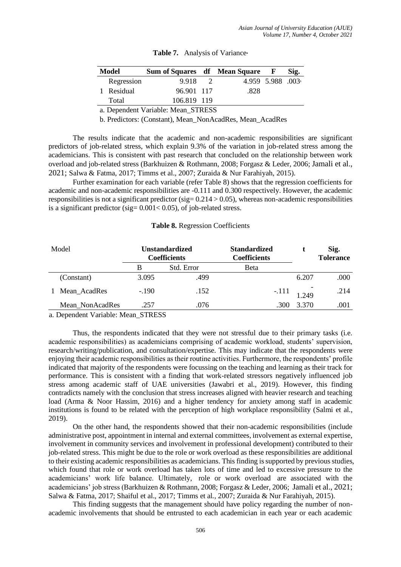| Model                              | Sum of Squares df Mean Square F |  |      |                  | Sig. |  |  |
|------------------------------------|---------------------------------|--|------|------------------|------|--|--|
| Regression                         | 9.918 2                         |  |      | 4.959 5.988 .003 |      |  |  |
| 1 Residual                         | 96.901 117                      |  | .828 |                  |      |  |  |
| Total                              | 106.819 119                     |  |      |                  |      |  |  |
| a. Dependent Variable: Mean_STRESS |                                 |  |      |                  |      |  |  |

**Table 7.** Analysis of Variance**<sup>a</sup>**

b. Predictors: (Constant), Mean\_NonAcadRes, Mean\_AcadRes

The results indicate that the academic and non-academic responsibilities are significant predictors of job-related stress, which explain 9.3% of the variation in job-related stress among the academicians. This is consistent with past research that concluded on the relationship between work

overload and job-related stress [\(Barkhuizen & Rothmann, 2008;](https://docs.google.com/document/d/1vxRhjhkXdq9T6-dbTw-obYft9j0YoC92/edit#heading=h.35nkun2) [Forgasz & Leder, 2006;](https://docs.google.com/document/d/1vxRhjhkXdq9T6-dbTw-obYft9j0YoC92/edit#heading=h.1y810tw) Jamali et al., 2021; [Salwa & Fatma, 2017;](https://docs.google.com/document/d/1vxRhjhkXdq9T6-dbTw-obYft9j0YoC92/edit#heading=h.1v1yuxt) [Timms et al., 2007;](https://docs.google.com/document/d/1vxRhjhkXdq9T6-dbTw-obYft9j0YoC92/edit#heading=h.46r0co2) [Zuraida & Nur Farahiyah, 2015\)](https://docs.google.com/document/d/1vxRhjhkXdq9T6-dbTw-obYft9j0YoC92/edit#heading=h.3l18frh). Further examination for each variable (refer Table 8) shows that the regression coefficients for

academic and non-academic responsibilities are -0.111 and 0.300 respectively. However, the academic responsibilities is not a significant predictor (sig=  $0.214 > 0.05$ ), whereas non-academic responsibilities is a significant predictor (sig= 0.001< 0.05), of job-related stress.

#### **Table 8.** Regression Coefficients

| Model |                 | Unstandardized<br><b>Coefficients</b> |            | <b>Standardized</b><br><b>Coefficients</b> |       | Sig.<br><b>Tolerance</b> |
|-------|-----------------|---------------------------------------|------------|--------------------------------------------|-------|--------------------------|
|       |                 | В                                     | Std. Error | Beta                                       |       |                          |
|       | (Constant)      | 3.095                                 | .499       |                                            | 6.207 | .000                     |
|       | Mean_AcadRes    | $-.190$                               | .152       | $-.111$                                    | .249  | .214                     |
|       | Mean NonAcadRes | .257                                  | .076       | .300                                       | 3.370 | .001                     |

a. Dependent Variable: Mean\_STRESS

Thus, the respondents indicated that they were not stressful due to their primary tasks (i.e. academic responsibilities) as academicians comprising of academic workload, students' supervision, research/writing/publication, and consultation/expertise. This may indicate that the respondents were enjoying their academic responsibilities as their routine activities. Furthermore, the respondents' profile indicated that majority of the respondents were focussing on the teaching and learning as their track for performance. This is consistent with a finding that work-related stressors negatively influenced job stress among academic staff of UAE universities [\(Jawabri et al., 2019\)](https://docs.google.com/document/d/1vxRhjhkXdq9T6-dbTw-obYft9j0YoC92/edit#heading=h.3as4poj). However, this finding contradicts namely with the conclusion that stress increases aligned with heavier research and teaching load [\(Arma & Noor Hassim, 2016\)](https://docs.google.com/document/d/1vxRhjhkXdq9T6-dbTw-obYft9j0YoC92/edit#heading=h.lnxbz9) and a higher tendency for anxiety among staff in academic institutions is found to be related with the perception of high workplace responsibility [\(Salmi et al.,](https://docs.google.com/document/d/1vxRhjhkXdq9T6-dbTw-obYft9j0YoC92/edit#heading=h.3fwokq0)  [2019\)](https://docs.google.com/document/d/1vxRhjhkXdq9T6-dbTw-obYft9j0YoC92/edit#heading=h.3fwokq0).

On the other hand, the respondents showed that their non-academic responsibilities (include administrative post, appointment in internal and external committees, involvement as external expertise, involvement in community services and involvement in professional development) contributed to their job-related stress. This might be due to the role or work overload as these responsibilities are additional to their existing academic responsibilities as academicians. This finding is supported by previous studies, which found that role or work overload has taken lots of time and led to excessive pressure to the academicians' work life balance. Ultimately, role or work overload are associated with the academicians' job stress [\(Barkhuizen & Rothmann, 2008;](https://docs.google.com/document/d/1vxRhjhkXdq9T6-dbTw-obYft9j0YoC92/edit#heading=h.35nkun2) [Forgasz & Leder, 2006;](https://docs.google.com/document/d/1vxRhjhkXdq9T6-dbTw-obYft9j0YoC92/edit#heading=h.1y810tw) [Jamali et al., 2021;](https://docs.google.com/document/d/1vxRhjhkXdq9T6-dbTw-obYft9j0YoC92/edit#heading=h.1v1yuxt)  [Salwa & Fatma, 2017;](https://docs.google.com/document/d/1vxRhjhkXdq9T6-dbTw-obYft9j0YoC92/edit#heading=h.1v1yuxt) [Shaiful et al., 2017;](https://docs.google.com/document/d/1vxRhjhkXdq9T6-dbTw-obYft9j0YoC92/edit#heading=h.3tbugp1) [Timms et al., 2007;](https://docs.google.com/document/d/1vxRhjhkXdq9T6-dbTw-obYft9j0YoC92/edit#heading=h.46r0co2) [Zuraida & Nur Farahiyah, 2015\)](https://docs.google.com/document/d/1vxRhjhkXdq9T6-dbTw-obYft9j0YoC92/edit#heading=h.3l18frh).

This finding suggests that the management should have policy regarding the number of nonacademic involvements that should be entrusted to each academician in each year or each academic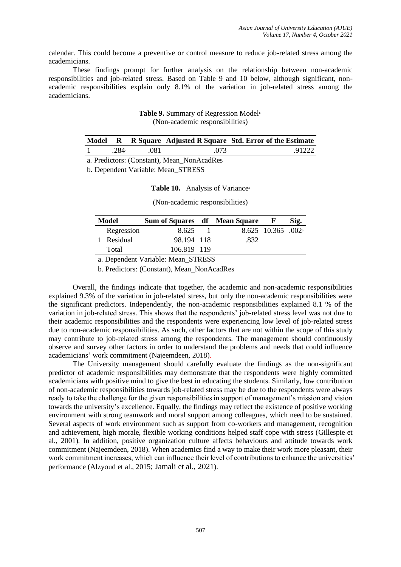calendar. This could become a preventive or control measure to reduce job-related stress among the academicians.

These findings prompt for further analysis on the relationship between non-academic responsibilities and job-related stress. Based on Table 9 and 10 below, although significant, nonacademic responsibilities explain only 8.1% of the variation in job-related stress among the academicians.

## **Table 9.** Summary of Regression Model**<sup>b</sup>** (Non-academic responsibilities)

|                  |      |      | Model R R Square Adjusted R Square Std. Error of the Estimate |
|------------------|------|------|---------------------------------------------------------------|
| 284 <sup>a</sup> | .081 | .073 | .91222                                                        |

a. Predictors: (Constant), Mean\_NonAcadRes

b. Dependent Variable: Mean\_STRESS

#### **Table 10.** Analysis of Variance**<sup>a</sup>**

(Non-academic responsibilities)

| Model     |            | Sum of Squares df Mean Square |  |      |                     | Sig. |
|-----------|------------|-------------------------------|--|------|---------------------|------|
|           | Regression | 8.625                         |  |      | $8.625$ 10.365 .002 |      |
|           | 1 Residual | 98.194 118                    |  | .832 |                     |      |
|           | Total      | 106.819 119                   |  |      |                     |      |
| -- ------ |            |                               |  |      |                     |      |

a. Dependent Variable: Mean\_STRESS

b. Predictors: (Constant), Mean\_NonAcadRes

Overall, the findings indicate that together, the academic and non-academic responsibilities explained 9.3% of the variation in job-related stress, but only the non-academic responsibilities were the significant predictors. Independently, the non-academic responsibilities explained 8.1 % of the variation in job-related stress. This shows that the respondents' job-related stress level was not due to their academic responsibilities and the respondents were experiencing low level of job-related stress due to non-academic responsibilities. As such, other factors that are not within the scope of this study may contribute to job-related stress among the respondents. The management should continuously observe and survey other factors in order to understand the problems and needs that could influence academicians' work commitment [\(Najeemdeen, 2018\)](https://docs.google.com/document/d/1vxRhjhkXdq9T6-dbTw-obYft9j0YoC92/edit#heading=h.23ckvvd).

The University management should carefully evaluate the findings as the non-significant predictor of academic responsibilities may demonstrate that the respondents were highly committed academicians with positive mind to give the best in educating the students. Similarly, low contribution of non-academic responsibilities towards job-related stress may be due to the respondents were always ready to take the challenge for the given responsibilities in support of management's mission and vision towards the university's excellence. Equally, the findings may reflect the existence of positive working environment with strong teamwork and moral support among colleagues, which need to be sustained. Several aspects of work environment such as support from co-workers and management, recognition and achievement, high morale, flexible working conditions helped staff cope with stress [\(Gillespie et](https://docs.google.com/document/d/1vxRhjhkXdq9T6-dbTw-obYft9j0YoC92/edit#heading=h.4i7ojhp)  [al., 2001\)](https://docs.google.com/document/d/1vxRhjhkXdq9T6-dbTw-obYft9j0YoC92/edit#heading=h.4i7ojhp). In addition, positive organization culture affects behaviours and attitude towards work commitment [\(Najeemdeen, 2018\)](https://docs.google.com/document/d/1vxRhjhkXdq9T6-dbTw-obYft9j0YoC92/edit#heading=h.23ckvvd). When academics find a way to make their work more pleasant, their work commitment increases, which can influence their level of contributions to enhance the universities' performance [\(Alzyoud et al., 2015](https://docs.google.com/document/d/1vxRhjhkXdq9T6-dbTw-obYft9j0YoC92/edit#heading=h.26in1rg); Jamali et al., 2021).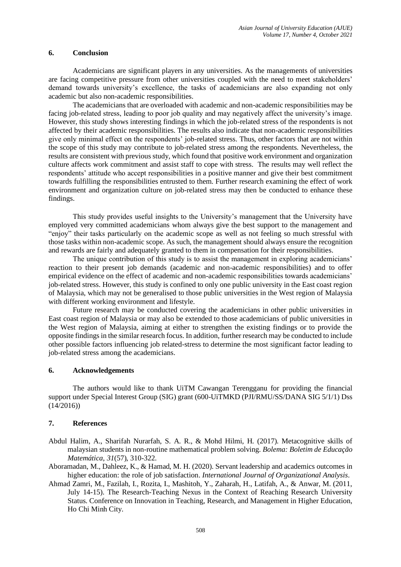## **6. Conclusion**

Academicians are significant players in any universities. As the managements of universities are facing competitive pressure from other universities coupled with the need to meet stakeholders' demand towards university's excellence, the tasks of academicians are also expanding not only academic but also non-academic responsibilities.

The academicians that are overloaded with academic and non-academic responsibilities may be facing job-related stress, leading to poor job quality and may negatively affect the university's image. However, this study shows interesting findings in which the job-related stress of the respondents is not affected by their academic responsibilities. The results also indicate that non-academic responsibilities give only minimal effect on the respondents' job-related stress. Thus, other factors that are not within the scope of this study may contribute to job-related stress among the respondents. Nevertheless, the results are consistent with previous study, which found that positive work environment and organization culture affects work commitment and assist staff to cope with stress. The results may well reflect the respondents' attitude who accept responsibilities in a positive manner and give their best commitment towards fulfilling the responsibilities entrusted to them. Further research examining the effect of work environment and organization culture on job-related stress may then be conducted to enhance these findings.

This study provides useful insights to the University's management that the University have employed very committed academicians whom always give the best support to the management and "enjoy" their tasks particularly on the academic scope as well as not feeling so much stressful with those tasks within non-academic scope. As such, the management should always ensure the recognition and rewards are fairly and adequately granted to them in compensation for their responsibilities.

The unique contribution of this study is to assist the management in exploring academicians' reaction to their present job demands (academic and non-academic responsibilities) and to offer empirical evidence on the effect of academic and non-academic responsibilities towards academicians' job-related stress. However, this study is confined to only one public university in the East coast region of Malaysia, which may not be generalised to those public universities in the West region of Malaysia with different working environment and lifestyle.

Future research may be conducted covering the academicians in other public universities in East coast region of Malaysia or may also be extended to those academicians of public universities in the West region of Malaysia, aiming at either to strengthen the existing findings or to provide the opposite findings in the similar research focus. In addition, further research may be conducted to include other possible factors influencing job related-stress to determine the most significant factor leading to job-related stress among the academicians.

# **6. Acknowledgements**

The authors would like to thank UiTM Cawangan Terengganu for providing the financial support under Special Interest Group (SIG) grant (600-UiTMKD (PJI/RMU/SS/DANA SIG 5/1/1) Dss  $(14/2016)$ 

## **7. References**

- Abdul Halim, A., Sharifah Nurarfah, S. A. R., & Mohd Hilmi, H. (2017). Metacognitive skills of malaysian students in non-routine mathematical problem solving. *Bolema: Boletim de Educação Matemática*, *31*(57), 310-322.
- Aboramadan, M., Dahleez, K., & Hamad, M. H. (2020). Servant leadership and academics outcomes in higher education: the role of job satisfaction. *International Journal of Organizational Analysis*.
- Ahmad Zamri, M., Fazilah, I., Rozita, I., Mashitoh, Y., Zaharah, H., Latifah, A., & Anwar, M. (2011, July 14-15). The Research-Teaching Nexus in the Context of Reaching Research University Status. Conference on Innovation in Teaching, Research, and Management in Higher Education, Ho Chi Minh City.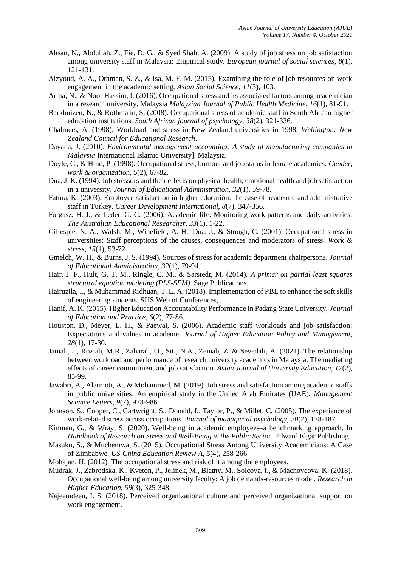- Ahsan, N., Abdullah, Z., Fie, D. G., & Syed Shah, A. (2009). A study of job stress on job satisfaction among university staff in Malaysia: Empirical study. *European journal of social sciences*, *8*(1), 121-131.
- Alzyoud, A. A., Othman, S. Z., & Isa, M. F. M. (2015). Examining the role of job resources on work engagement in the academic setting. *Asian Social Science*, *11*(3), 103.
- Arma, N., & Noor Hassim, I. (2016). Occupational stress and its associated factors among academician in a research university, Malaysia *Malaysian Journal of Public Health Medicine*, *16*(1), 81-91.
- Barkhuizen, N., & Rothmann, S. (2008). Occupational stress of academic staff in South African higher education institutions. *South African journal of psychology*, *38*(2), 321-336.
- Chalmers, A. (1998). Workload and stress in New Zealand universities in 1998. *Wellington: New Zealand Council for Educational Research*.
- Dayana, J. (2010). *Environmental management accounting: A study of manufacturing companies in Malaysia* International Islamic University]. Malaysia.
- Doyle, C., & Hind, P. (1998). Occupational stress, burnout and job status in female academics. *Gender, work & organization*, *5*(2), 67-82.
- Dua, J. K. (1994). Job stressors and their effects on physical health, emotional health and job satisfaction in a university. *Journal of Educational Administration*, *32*(1), 59-78.
- Fatma, K. (2003). Employee satisfaction in higher education: the case of academic and administrative staff in Turkey. *Career Development International*, *8*(7), 347-356.
- Forgasz, H. J., & Leder, G. C. (2006). Academic life: Monitoring work patterns and daily activities. *The Australian Educational Researcher*, *33*(1), 1-22.
- Gillespie, N. A., Walsh, M., Winefield, A. H., Dua, J., & Stough, C. (2001). Occupational stress in universities: Staff perceptions of the causes, consequences and moderators of stress. *Work & stress*, *15*(1), 53-72.
- Gmelch, W. H., & Burns, J. S. (1994). Sources of stress for academic department chairpersons. *Journal of Educational Administration*, *32*(1), 79-94.
- Hair, J. F., Hult, G. T. M., Ringle, C. M., & Sarstedt, M. (2014). *A primer on partial least squares structural equation modeling (PLS-SEM)*. Sage Publications.
- Hairuzila, I., & Muhammad Ridhuan, T. L. A. (2018). Implementation of PBL to enhance the soft skills of engineering students. SHS Web of Conferences,
- Hanif, A. K. (2015). Higher Education Accountability Performance in Padang State University. *Journal of Education and Practice*, *6*(2), 77-86.
- Houston, D., Meyer, L. H., & Paewai, S. (2006). Academic staff workloads and job satisfaction: Expectations and values in academe. *Journal of Higher Education Policy and Management*, *28*(1), 17-30.
- Jamali, J., Roziah, M.R., Zaharah, O., Siti, N.A., Zeinab, Z. & Seyedali, A. (2021). The relationship between workload and performance of research university academics in Malaysia: The mediating effects of career commitment and job satisfaction. *Asian Journal of University Education, 17*(2), 85-99.
- Jawabri, A., Alarmoti, A., & Mohammed, M. (2019). Job stress and satisfaction among academic staffs in public universities: An empirical study in the United Arab Emirates (UAE). *Management Science Letters*, *9*(7), 973-986.
- Johnson, S., Cooper, C., Cartwright, S., Donald, I., Taylor, P., & Millet, C. (2005). The experience of work-related stress across occupations. *Journal of managerial psychology*, *20*(2), 178-187.
- Kinman, G., & Wray, S. (2020). Well-being in academic employees–a benchmarking approach. In *Handbook of Research on Stress and Well-Being in the Public Sector*. Edward Elgar Publishing.
- Masuku, S., & Muchemwa, S. (2015). Occupational Stress Among University Academicians: A Case of Zimbabwe. *US-China Education Review A*, *5*(4), 258-266.
- Mohajan, H. (2012). The occupational stress and risk of it among the employees.
- Mudrak, J., Zabrodska, K., Kveton, P., Jelinek, M., Blatny, M., Solcova, I., & Machovcova, K. (2018). Occupational well-being among university faculty: A job demands-resources model. *Research in Higher Education*, *59*(3), 325-348.
- Najeemdeen, I. S. (2018). Perceived organizational culture and perceived organizational support on work engagement.